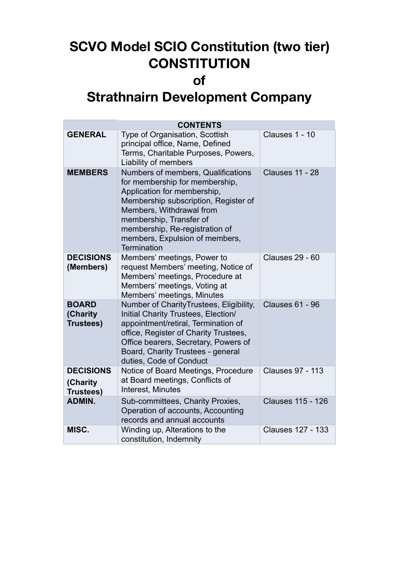# **SCVO Model SCIO Constitution (two tier) CONSTITUTION**

# **of**

# **Strathnairn Development Company**

| <b>CONTENTS</b>                                  |                                                                                                                                                                                                                                                                                              |                          |  |  |  |  |
|--------------------------------------------------|----------------------------------------------------------------------------------------------------------------------------------------------------------------------------------------------------------------------------------------------------------------------------------------------|--------------------------|--|--|--|--|
| <b>GENERAL</b>                                   | Type of Organisation, Scottish<br>principal office, Name, Defined<br>Terms, Charitable Purposes, Powers,<br>Liability of members                                                                                                                                                             | Clauses 1 - 10           |  |  |  |  |
| <b>MEMBERS</b>                                   | Numbers of members, Qualifications<br>for membership for membership,<br>Application for membership,<br>Membership subscription, Register of<br>Members, Withdrawal from<br>membership, Transfer of<br>membership, Re-registration of<br>members, Expulsion of members,<br><b>Termination</b> | <b>Clauses 11 - 28</b>   |  |  |  |  |
| <b>DECISIONS</b><br>(Members)                    | Members' meetings, Power to<br>request Members' meeting, Notice of<br>Members' meetings, Procedure at<br>Members' meetings, Voting at<br>Members' meetings, Minutes                                                                                                                          | <b>Clauses 29 - 60</b>   |  |  |  |  |
| <b>BOARD</b><br>(Charity<br>Trustees)            | Number of CharityTrustees, Eligibility,<br>Initial Charity Trustees, Election/<br>appointment/retiral, Termination of<br>office, Register of Charity Trustees,<br>Office bearers, Secretary, Powers of<br>Board, Charity Trustees - general<br>duties, Code of Conduct                       | <b>Clauses 61 - 96</b>   |  |  |  |  |
| <b>DECISIONS</b><br>(Charity<br><b>Trustees)</b> | Notice of Board Meetings, Procedure<br>at Board meetings, Conflicts of<br>Interest, Minutes                                                                                                                                                                                                  | <b>Clauses 97 - 113</b>  |  |  |  |  |
| <b>ADMIN.</b>                                    | Sub-committees, Charity Proxies,<br>Operation of accounts, Accounting<br>records and annual accounts                                                                                                                                                                                         | <b>Clauses 115 - 126</b> |  |  |  |  |
| MISC.                                            | Winding up, Alterations to the<br>constitution, Indemnity                                                                                                                                                                                                                                    | <b>Clauses 127 - 133</b> |  |  |  |  |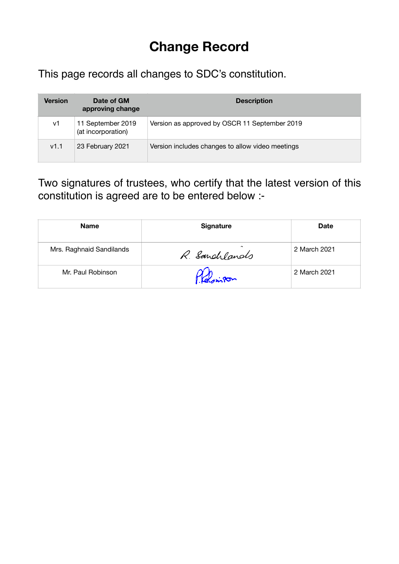# **Change Record**

This page records all changes to SDC's constitution.

| <b>Version</b> | Date of GM<br>approving change          | <b>Description</b>                               |
|----------------|-----------------------------------------|--------------------------------------------------|
| v1             | 11 September 2019<br>(at incorporation) | Version as approved by OSCR 11 September 2019    |
| v1.1           | 23 February 2021                        | Version includes changes to allow video meetings |

Two signatures of trustees, who certify that the latest version of this constitution is agreed are to be entered below :-

| <b>Name</b>              | <b>Signature</b>        | <b>Date</b>  |
|--------------------------|-------------------------|--------------|
| Mrs. Raghnaid Sandilands | $\sim$<br>R. Sandylands | 2 March 2021 |
| Mr. Paul Robinson        | F. Kelsingon            | 2 March 2021 |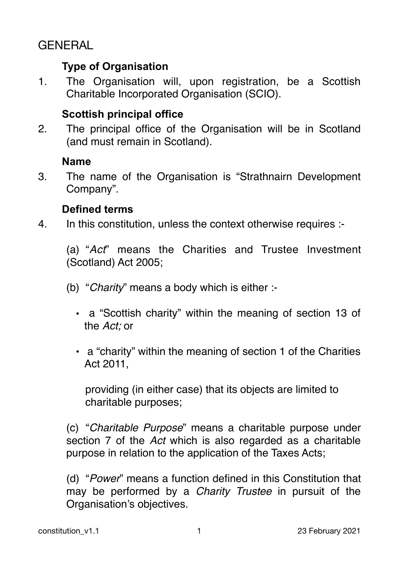# GENERAL

# **Type of Organisation**

1. The Organisation will, upon registration, be a Scottish Charitable Incorporated Organisation (SCIO).

# **Scottish principal office**

2. The principal office of the Organisation will be in Scotland (and must remain in Scotland).

# **Name**

3. The name of the Organisation is "Strathnairn Development Company".

# **Defined terms**

4. In this constitution, unless the context otherwise requires :-

(a) "*Act*" means the Charities and Trustee Investment (Scotland) Act 2005;

- (b) "*Charity*" means a body which is either :-
	- a "Scottish charity" within the meaning of section 13 of the *Act;* or
	- a "charity" within the meaning of section 1 of the Charities Act 2011,

providing (in either case) that its objects are limited to charitable purposes;

(c) "*Charitable Purpose*" means a charitable purpose under section 7 of the *Act* which is also regarded as a charitable purpose in relation to the application of the Taxes Acts;

(d) "*Power*" means a function defined in this Constitution that may be performed by a *Charity Trustee* in pursuit of the Organisation's objectives.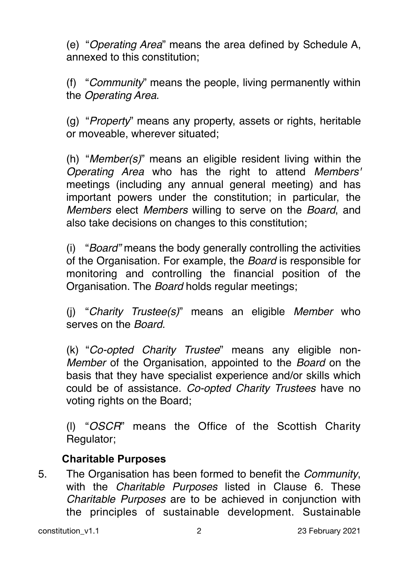(e) "*Operating Area*" means the area defined by Schedule A, annexed to this constitution;

(f) "*Community*" means the people, living permanently within the *Operating Area*.

(g) "*Property*" means any property, assets or rights, heritable or moveable, wherever situated;

(h) "*Member(s)*" means an eligible resident living within the *Operating Area* who has the right to attend *Members'*  meetings (including any annual general meeting) and has important powers under the constitution; in particular, the *Members* elect *Members* willing to serve on the *Board*, and also take decisions on changes to this constitution;

(i) "*Board"* means the body generally controlling the activities of the Organisation. For example, the *Board* is responsible for monitoring and controlling the financial position of the Organisation. The *Board* holds regular meetings;

(j) "*Charity Trustee(s)*" means an eligible *Member* who serves on the *Board*.

(k) "*Co-opted Charity Trustee*" means any eligible non-*Member* of the Organisation, appointed to the *Board* on the basis that they have specialist experience and/or skills which could be of assistance. *Co-opted Charity Trustees* have no voting rights on the Board;

(l) "*OSCR*" means the Office of the Scottish Charity Regulator;

# **Charitable Purposes**

5. The Organisation has been formed to benefit the *Community*, with the *Charitable Purposes* listed in Clause 6. These *Charitable Purposes* are to be achieved in conjunction with the principles of sustainable development. Sustainable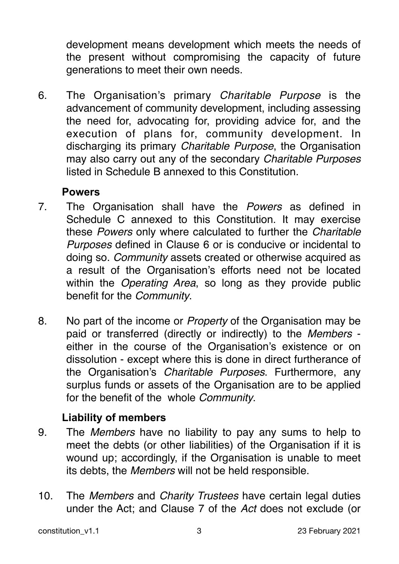development means development which meets the needs of the present without compromising the capacity of future generations to meet their own needs.

6. The Organisation's primary *Charitable Purpose* is the advancement of community development, including assessing the need for, advocating for, providing advice for, and the execution of plans for, community development. In discharging its primary *Charitable Purpose*, the Organisation may also carry out any of the secondary *Charitable Purposes* listed in Schedule B annexed to this Constitution.

# **Powers**

- 7. The Organisation shall have the *Powers* as defined in Schedule C annexed to this Constitution. It may exercise these *Powers* only where calculated to further the *Charitable Purposes* defined in Clause 6 or is conducive or incidental to doing so. *Community* assets created or otherwise acquired as a result of the Organisation's efforts need not be located within the *Operating Area*, so long as they provide public benefit for the *Community*.
- 8. No part of the income or *Property* of the Organisation may be paid or transferred (directly or indirectly) to the *Members* either in the course of the Organisation's existence or on dissolution - except where this is done in direct furtherance of the Organisation's *Charitable Purposes*. Furthermore, any surplus funds or assets of the Organisation are to be applied for the benefit of the whole *Community*.

# **Liability of members**

- 9. The *Members* have no liability to pay any sums to help to meet the debts (or other liabilities) of the Organisation if it is wound up; accordingly, if the Organisation is unable to meet its debts, the *Members* will not be held responsible.
- 10. The *Members* and *Charity Trustees* have certain legal duties under the Act; and Clause 7 of the *Act* does not exclude (or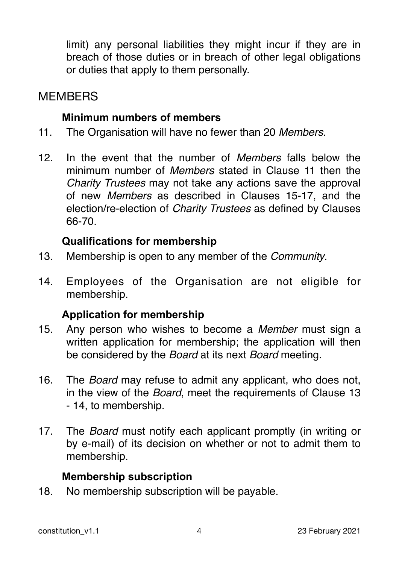limit) any personal liabilities they might incur if they are in breach of those duties or in breach of other legal obligations or duties that apply to them personally.

# **MEMBERS**

### **Minimum numbers of members**

- 11. The Organisation will have no fewer than 20 *Members*.
- 12. In the event that the number of *Members* falls below the minimum number of *Members* stated in Clause 11 then the *Charity Trustees* may not take any actions save the approval of new *Members* as described in Clauses 15-17, and the election/re-election of *Charity Trustees* as defined by Clauses 66-70.

# **Qualifications for membership**

- 13. Membership is open to any member of the *Community*.
- 14. Employees of the Organisation are not eligible for membership.

# **Application for membership**

- 15. Any person who wishes to become a *Member* must sign a written application for membership; the application will then be considered by the *Board* at its next *Board* meeting.
- 16. The *Board* may refuse to admit any applicant, who does not, in the view of the *Board*, meet the requirements of Clause 13 - 14, to membership.
- 17. The *Board* must notify each applicant promptly (in writing or by e-mail) of its decision on whether or not to admit them to membership.

# **Membership subscription**

18. No membership subscription will be payable.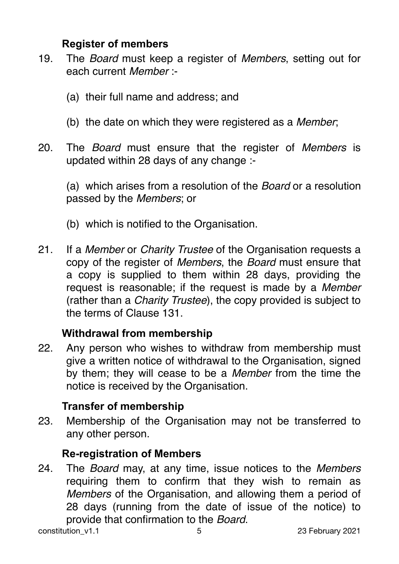# **Register of members**

- 19. The *Board* must keep a register of *Members*, setting out for each current *Member* :-
	- (a) their full name and address; and
	- (b) the date on which they were registered as a *Member*;
- 20. The *Board* must ensure that the register of *Members* is updated within 28 days of any change :-

(a) which arises from a resolution of the *Board* or a resolution passed by the *Members*; or

- (b) which is notified to the Organisation.
- 21. If a *Member* or *Charity Trustee* of the Organisation requests a copy of the register of *Members*, the *Board* must ensure that a copy is supplied to them within 28 days, providing the request is reasonable; if the request is made by a *Member* (rather than a *Charity Trustee*), the copy provided is subject to the terms of Clause 131.

# **Withdrawal from membership**

22. Any person who wishes to withdraw from membership must give a written notice of withdrawal to the Organisation, signed by them; they will cease to be a *Member* from the time the notice is received by the Organisation.

# **Transfer of membership**

23. Membership of the Organisation may not be transferred to any other person.

# **Re-registration of Members**

24. The *Board* may, at any time, issue notices to the *Members* requiring them to confirm that they wish to remain as *Members* of the Organisation, and allowing them a period of 28 days (running from the date of issue of the notice) to provide that confirmation to the *Board*.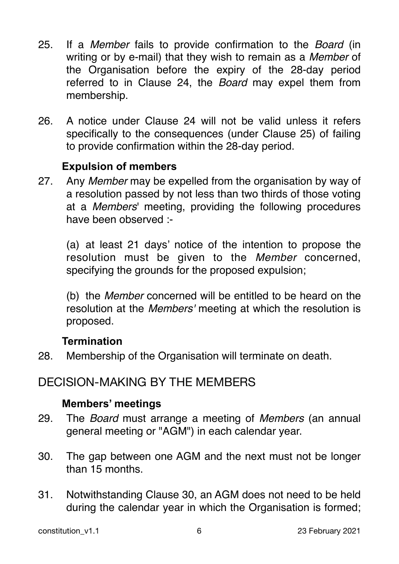- 25. If a *Member* fails to provide confirmation to the *Board* (in writing or by e-mail) that they wish to remain as a *Member* of the Organisation before the expiry of the 28-day period referred to in Clause 24, the *Board* may expel them from membership.
- 26. A notice under Clause 24 will not be valid unless it refers specifically to the consequences (under Clause 25) of failing to provide confirmation within the 28-day period.

#### **Expulsion of members**

27. Any *Member* may be expelled from the organisation by way of a resolution passed by not less than two thirds of those voting at a *Members*' meeting, providing the following procedures have been observed :-

(a) at least 21 days' notice of the intention to propose the resolution must be given to the *Member* concerned, specifying the grounds for the proposed expulsion;

(b) the *Member* concerned will be entitled to be heard on the resolution at the *Members'* meeting at which the resolution is proposed.

# **Termination**

28. Membership of the Organisation will terminate on death.

# DECISION-MAKING BY THE MEMBERS

#### **Members' meetings**

- 29. The *Board* must arrange a meeting of *Members* (an annual general meeting or "AGM") in each calendar year.
- 30. The gap between one AGM and the next must not be longer than 15 months.
- 31. Notwithstanding Clause 30, an AGM does not need to be held during the calendar year in which the Organisation is formed;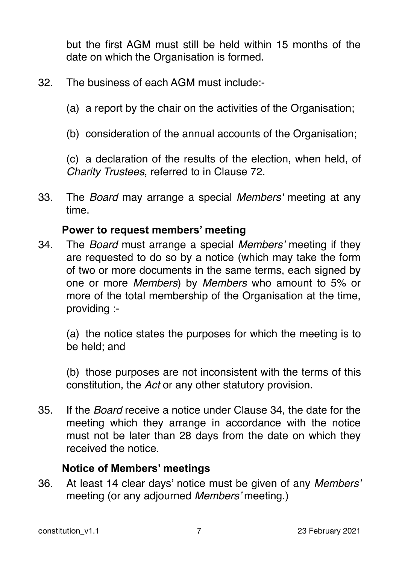but the first AGM must still be held within 15 months of the date on which the Organisation is formed.

- 32. The business of each AGM must include:-
	- (a) a report by the chair on the activities of the Organisation;
	- (b) consideration of the annual accounts of the Organisation;

(c) a declaration of the results of the election, when held, of *Charity Trustees*, referred to in Clause 72.

33. The *Board* may arrange a special *Members'* meeting at any time.

#### **Power to request members' meeting**

34. The *Board* must arrange a special *Members'* meeting if they are requested to do so by a notice (which may take the form of two or more documents in the same terms, each signed by one or more *Members*) by *Members* who amount to 5% or more of the total membership of the Organisation at the time, providing :-

(a) the notice states the purposes for which the meeting is to be held; and

(b) those purposes are not inconsistent with the terms of this constitution, the *Act* or any other statutory provision.

35. If the *Board* receive a notice under Clause 34, the date for the meeting which they arrange in accordance with the notice must not be later than 28 days from the date on which they received the notice.

# **Notice of Members' meetings**

36. At least 14 clear days' notice must be given of any *Members'* meeting (or any adjourned *Members'* meeting.)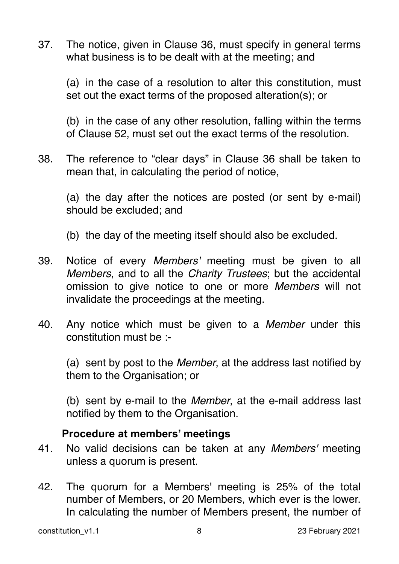37. The notice, given in Clause 36, must specify in general terms what business is to be dealt with at the meeting; and

(a) in the case of a resolution to alter this constitution, must set out the exact terms of the proposed alteration(s); or

(b) in the case of any other resolution, falling within the terms of Clause 52, must set out the exact terms of the resolution.

38. The reference to "clear days" in Clause 36 shall be taken to mean that, in calculating the period of notice,

(a) the day after the notices are posted (or sent by e-mail) should be excluded; and

(b) the day of the meeting itself should also be excluded.

- 39. Notice of every *Members'* meeting must be given to all *Members*, and to all the *Charity Trustees*; but the accidental omission to give notice to one or more *Members* will not invalidate the proceedings at the meeting.
- 40. Any notice which must be given to a *Member* under this constitution must be :-

(a) sent by post to the *Member*, at the address last notified by them to the Organisation; or

(b) sent by e-mail to the *Member*, at the e-mail address last notified by them to the Organisation.

# **Procedure at members' meetings**

- 41. No valid decisions can be taken at any *Members'* meeting unless a quorum is present.
- 42. The quorum for a Members' meeting is 25% of the total number of Members, or 20 Members, which ever is the lower. In calculating the number of Members present, the number of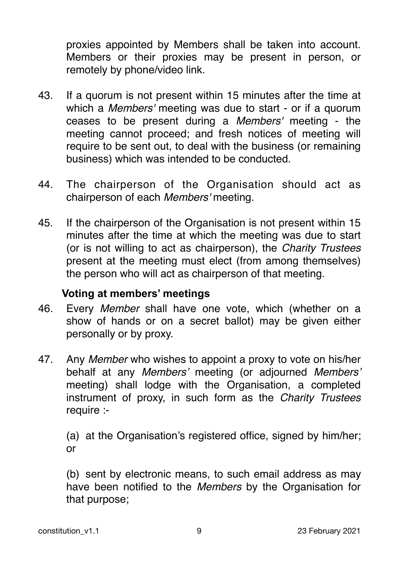proxies appointed by Members shall be taken into account. Members or their proxies may be present in person, or remotely by phone/video link.

- 43. If a quorum is not present within 15 minutes after the time at which a *Members'* meeting was due to start - or if a quorum ceases to be present during a *Members'* meeting - the meeting cannot proceed; and fresh notices of meeting will require to be sent out, to deal with the business (or remaining business) which was intended to be conducted.
- 44. The chairperson of the Organisation should act as chairperson of each *Members'* meeting.
- 45. If the chairperson of the Organisation is not present within 15 minutes after the time at which the meeting was due to start (or is not willing to act as chairperson), the *Charity Trustees* present at the meeting must elect (from among themselves) the person who will act as chairperson of that meeting.

# **Voting at members' meetings**

- 46. Every *Member* shall have one vote, which (whether on a show of hands or on a secret ballot) may be given either personally or by proxy.
- 47. Any *Member* who wishes to appoint a proxy to vote on his/her behalf at any *Members'* meeting (or adjourned *Members'* meeting) shall lodge with the Organisation, a completed instrument of proxy, in such form as the *Charity Trustees* require :-

(a) at the Organisation's registered office, signed by him/her; or

(b) sent by electronic means, to such email address as may have been notified to the *Members* by the Organisation for that purpose;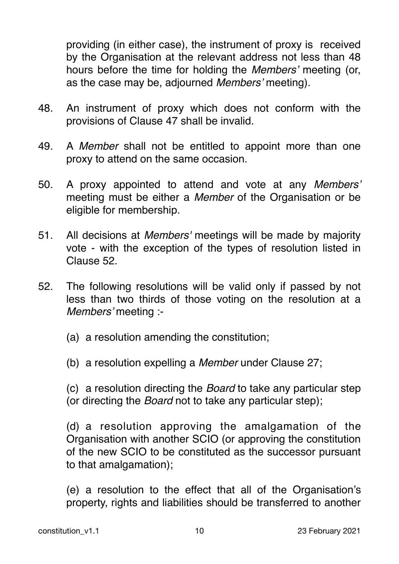providing (in either case), the instrument of proxy is received by the Organisation at the relevant address not less than 48 hours before the time for holding the *Members'* meeting (or, as the case may be, adjourned *Members'* meeting).

- 48. An instrument of proxy which does not conform with the provisions of Clause 47 shall be invalid.
- 49. A *Member* shall not be entitled to appoint more than one proxy to attend on the same occasion.
- 50. A proxy appointed to attend and vote at any *Members'* meeting must be either a *Member* of the Organisation or be eligible for membership.
- 51. All decisions at *Members'* meetings will be made by majority vote - with the exception of the types of resolution listed in Clause 52.
- 52. The following resolutions will be valid only if passed by not less than two thirds of those voting on the resolution at a *Members'* meeting :-
	- (a) a resolution amending the constitution;
	- (b) a resolution expelling a *Member* under Clause 27;

(c) a resolution directing the *Board* to take any particular step (or directing the *Board* not to take any particular step);

(d) a resolution approving the amalgamation of the Organisation with another SCIO (or approving the constitution of the new SCIO to be constituted as the successor pursuant to that amalgamation);

(e) a resolution to the effect that all of the Organisation's property, rights and liabilities should be transferred to another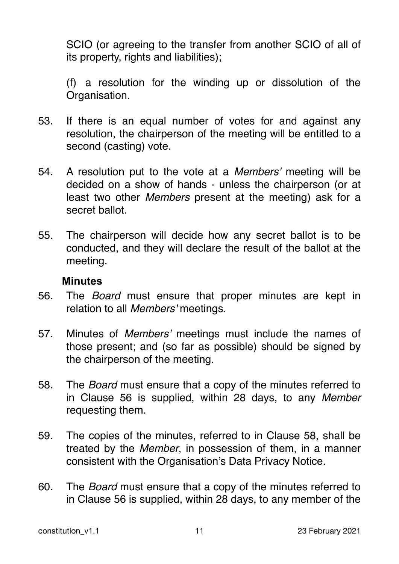SCIO (or agreeing to the transfer from another SCIO of all of its property, rights and liabilities);

(f) a resolution for the winding up or dissolution of the Organisation.

- 53. If there is an equal number of votes for and against any resolution, the chairperson of the meeting will be entitled to a second (casting) vote.
- 54. A resolution put to the vote at a *Members'* meeting will be decided on a show of hands - unless the chairperson (or at least two other *Members* present at the meeting) ask for a secret ballot.
- 55. The chairperson will decide how any secret ballot is to be conducted, and they will declare the result of the ballot at the meeting.

#### **Minutes**

- 56. The *Board* must ensure that proper minutes are kept in relation to all *Members'* meetings.
- 57. Minutes of *Members'* meetings must include the names of those present; and (so far as possible) should be signed by the chairperson of the meeting.
- 58. The *Board* must ensure that a copy of the minutes referred to in Clause 56 is supplied, within 28 days, to any *Member* requesting them.
- 59. The copies of the minutes, referred to in Clause 58, shall be treated by the *Member*, in possession of them, in a manner consistent with the Organisation's Data Privacy Notice.
- 60. The *Board* must ensure that a copy of the minutes referred to in Clause 56 is supplied, within 28 days, to any member of the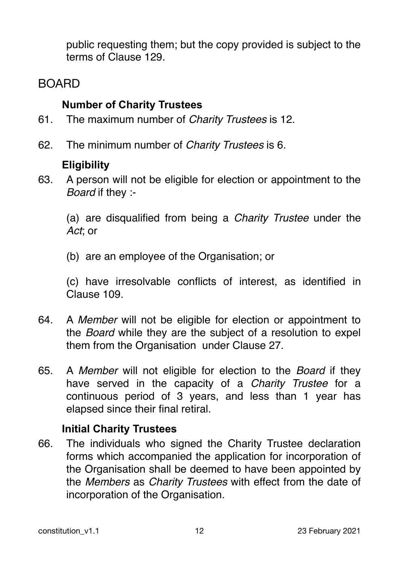public requesting them; but the copy provided is subject to the terms of Clause 129.

# BOARD

# **Number of Charity Trustees**

- 61. The maximum number of *Charity Trustees* is 12.
- 62. The minimum number of *Charity Trustees* is 6.

# **Eligibility**

63. A person will not be eligible for election or appointment to the *Board* if they :-

(a) are disqualified from being a *Charity Trustee* under the *Act*; or

(b) are an employee of the Organisation; or

(c) have irresolvable conflicts of interest, as identified in Clause 109.

- 64. A *Member* will not be eligible for election or appointment to the *Board* while they are the subject of a resolution to expel them from the Organisation under Clause 27.
- 65. A *Member* will not eligible for election to the *Board* if they have served in the capacity of a *Charity Trustee* for a continuous period of 3 years, and less than 1 year has elapsed since their final retiral.

# **Initial Charity Trustees**

66. The individuals who signed the Charity Trustee declaration forms which accompanied the application for incorporation of the Organisation shall be deemed to have been appointed by the *Members* as *Charity Trustees* with effect from the date of incorporation of the Organisation.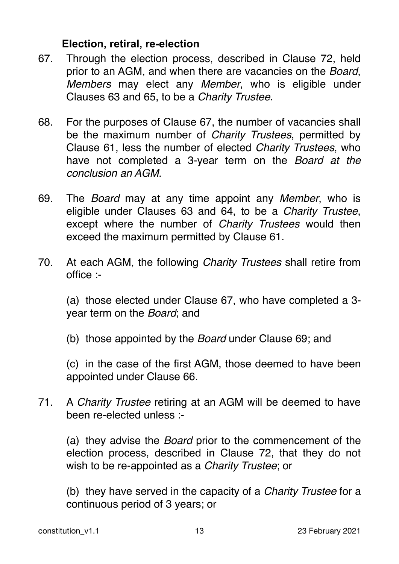#### **Election, retiral, re-election**

- 67. Through the election process, described in Clause 72, held prior to an AGM, and when there are vacancies on the *Board*, *Members* may elect any *Member*, who is eligible under Clauses 63 and 65, to be a *Charity Trustee*.
- 68. For the purposes of Clause 67, the number of vacancies shall be the maximum number of *Charity Trustees*, permitted by Clause 61, less the number of elected *Charity Trustees*, who have not completed a 3-year term on the *Board at the conclusion an AGM*.
- 69. The *Board* may at any time appoint any *Member*, who is eligible under Clauses 63 and 64, to be a *Charity Trustee*, except where the number of *Charity Trustees* would then exceed the maximum permitted by Clause 61.
- 70. At each AGM, the following *Charity Trustees* shall retire from office :-

(a) those elected under Clause 67, who have completed a 3 year term on the *Board*; and

(b) those appointed by the *Board* under Clause 69; and

(c) in the case of the first AGM, those deemed to have been appointed under Clause 66.

71. A *Charity Trustee* retiring at an AGM will be deemed to have been re-elected unless :-

(a) they advise the *Board* prior to the commencement of the election process, described in Clause 72, that they do not wish to be re-appointed as a *Charity Trustee*; or

(b) they have served in the capacity of a *Charity Trustee* for a continuous period of 3 years; or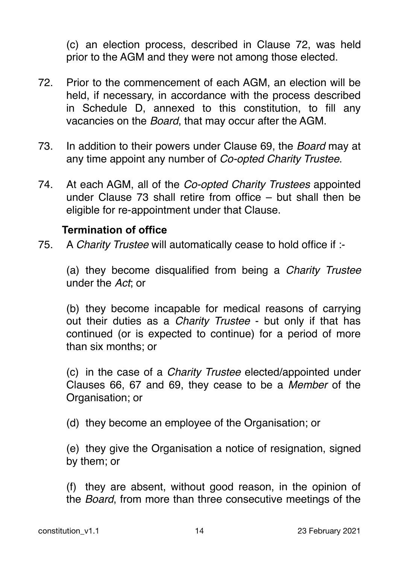(c) an election process, described in Clause 72, was held prior to the AGM and they were not among those elected.

- 72. Prior to the commencement of each AGM, an election will be held, if necessary, in accordance with the process described in Schedule D, annexed to this constitution, to fill any vacancies on the *Board*, that may occur after the AGM.
- 73. In addition to their powers under Clause 69, the *Board* may at any time appoint any number of *Co-opted Charity Trustee*.
- 74. At each AGM, all of the *Co-opted Charity Trustees* appointed under Clause 73 shall retire from office – but shall then be eligible for re-appointment under that Clause.

#### **Termination of office**

75. A *Charity Trustee* will automatically cease to hold office if :-

(a) they become disqualified from being a *Charity Trustee* under the *Act*; or

(b) they become incapable for medical reasons of carrying out their duties as a *Charity Trustee* - but only if that has continued (or is expected to continue) for a period of more than six months; or

(c) in the case of a *Charity Trustee* elected/appointed under Clauses 66, 67 and 69, they cease to be a *Member* of the Organisation; or

(d) they become an employee of the Organisation; or

(e) they give the Organisation a notice of resignation, signed by them; or

(f) they are absent, without good reason, in the opinion of the *Board*, from more than three consecutive meetings of the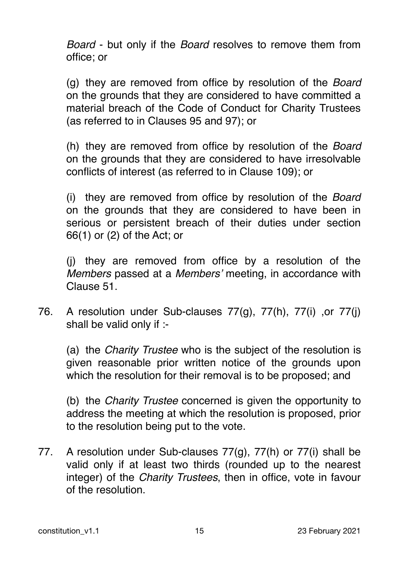*Board* - but only if the *Board* resolves to remove them from office; or

(g) they are removed from office by resolution of the *Board* on the grounds that they are considered to have committed a material breach of the Code of Conduct for Charity Trustees (as referred to in Clauses 95 and 97); or

(h) they are removed from office by resolution of the *Board* on the grounds that they are considered to have irresolvable conflicts of interest (as referred to in Clause 109); or

(i) they are removed from office by resolution of the *Board* on the grounds that they are considered to have been in serious or persistent breach of their duties under section 66(1) or (2) of the Act; or

(j) they are removed from office by a resolution of the *Members* passed at a *Members'* meeting, in accordance with Clause 51.

76. A resolution under Sub-clauses 77(g), 77(h), 77(i) ,or 77(j) shall be valid only if :-

(a) the *Charity Trustee* who is the subject of the resolution is given reasonable prior written notice of the grounds upon which the resolution for their removal is to be proposed; and

(b) the *Charity Trustee* concerned is given the opportunity to address the meeting at which the resolution is proposed, prior to the resolution being put to the vote.

77. A resolution under Sub-clauses 77(g), 77(h) or 77(i) shall be valid only if at least two thirds (rounded up to the nearest integer) of the *Charity Trustees*, then in office, vote in favour of the resolution.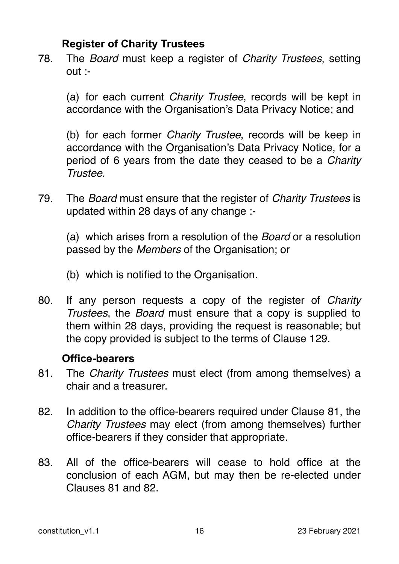# **Register of Charity Trustees**

78. The *Board* must keep a register of *Charity Trustees*, setting out :-

(a) for each current *Charity Trustee*, records will be kept in accordance with the Organisation's Data Privacy Notice; and

(b) for each former *Charity Trustee*, records will be keep in accordance with the Organisation's Data Privacy Notice, for a period of 6 years from the date they ceased to be a *Charity Trustee*.

79. The *Board* must ensure that the register of *Charity Trustees* is updated within 28 days of any change :-

(a) which arises from a resolution of the *Board* or a resolution passed by the *Members* of the Organisation; or

(b) which is notified to the Organisation.

80. If any person requests a copy of the register of *Charity Trustees*, the *Board* must ensure that a copy is supplied to them within 28 days, providing the request is reasonable; but the copy provided is subject to the terms of Clause 129.

#### **Office-bearers**

- 81. The *Charity Trustees* must elect (from among themselves) a chair and a treasurer.
- 82. In addition to the office-bearers required under Clause 81, the *Charity Trustees* may elect (from among themselves) further office-bearers if they consider that appropriate.
- 83. All of the office-bearers will cease to hold office at the conclusion of each AGM, but may then be re-elected under Clauses 81 and 82.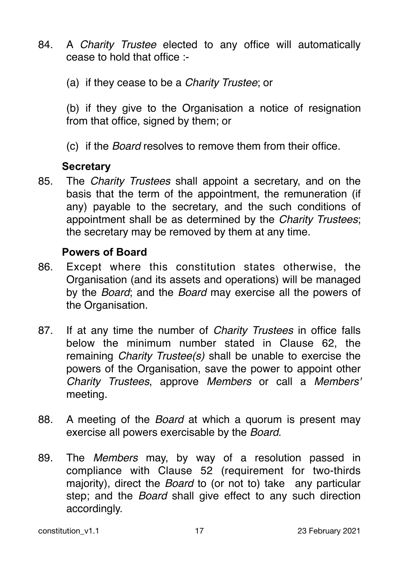- 84. A *Charity Trustee* elected to any office will automatically cease to hold that office :-
	- (a) if they cease to be a *Charity Trustee*; or

(b) if they give to the Organisation a notice of resignation from that office, signed by them; or

(c) if the *Board* resolves to remove them from their office.

#### **Secretary**

85. The *Charity Trustees* shall appoint a secretary, and on the basis that the term of the appointment, the remuneration (if any) payable to the secretary, and the such conditions of appointment shall be as determined by the *Charity Trustees*; the secretary may be removed by them at any time.

#### **Powers of Board**

- 86. Except where this constitution states otherwise, the Organisation (and its assets and operations) will be managed by the *Board*; and the *Board* may exercise all the powers of the Organisation.
- 87. If at any time the number of *Charity Trustees* in office falls below the minimum number stated in Clause 62, the remaining *Charity Trustee(s)* shall be unable to exercise the powers of the Organisation, save the power to appoint other *Charity Trustees*, approve *Members* or call a *Members'* meeting.
- 88. A meeting of the *Board* at which a quorum is present may exercise all powers exercisable by the *Board*.
- 89. The *Members* may, by way of a resolution passed in compliance with Clause 52 (requirement for two-thirds majority), direct the *Board* to (or not to) take any particular step; and the *Board* shall give effect to any such direction accordingly.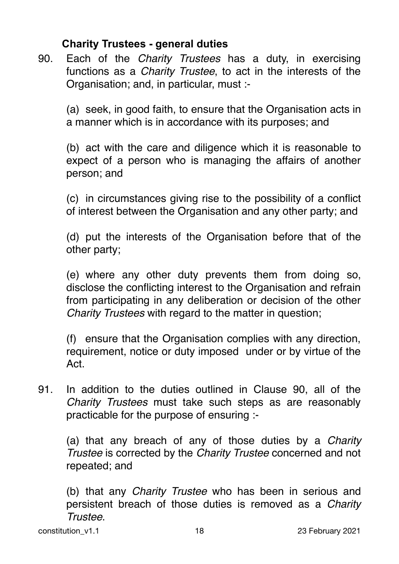# **Charity Trustees - general duties**

90. Each of the *Charity Trustees* has a duty, in exercising functions as a *Charity Trustee*, to act in the interests of the Organisation; and, in particular, must :-

(a) seek, in good faith, to ensure that the Organisation acts in a manner which is in accordance with its purposes; and

(b) act with the care and diligence which it is reasonable to expect of a person who is managing the affairs of another person; and

(c) in circumstances giving rise to the possibility of a conflict of interest between the Organisation and any other party; and

(d) put the interests of the Organisation before that of the other party;

(e) where any other duty prevents them from doing so, disclose the conflicting interest to the Organisation and refrain from participating in any deliberation or decision of the other *Charity Trustees* with regard to the matter in question;

(f) ensure that the Organisation complies with any direction, requirement, notice or duty imposed under or by virtue of the Act.

91. In addition to the duties outlined in Clause 90, all of the *Charity Trustees* must take such steps as are reasonably practicable for the purpose of ensuring :-

(a) that any breach of any of those duties by a *Charity Trustee* is corrected by the *Charity Trustee* concerned and not repeated; and

(b) that any *Charity Trustee* who has been in serious and persistent breach of those duties is removed as a *Charity Trustee*.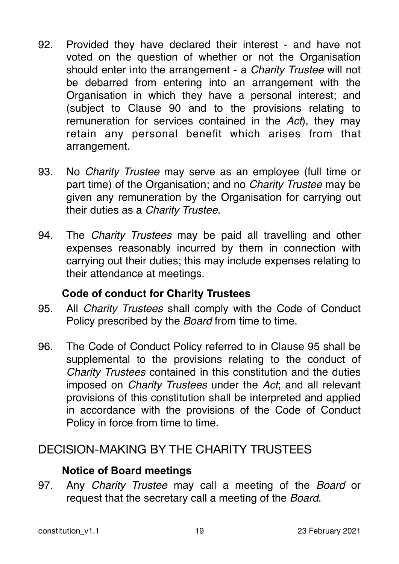- 92. Provided they have declared their interest and have not voted on the question of whether or not the Organisation should enter into the arrangement - a *Charity Trustee* will not be debarred from entering into an arrangement with the Organisation in which they have a personal interest; and (subject to Clause 90 and to the provisions relating to remuneration for services contained in the *Act*), they may retain any personal benefit which arises from that arrangement.
- 93. No *Charity Trustee* may serve as an employee (full time or part time) of the Organisation; and no *Charity Trustee* may be given any remuneration by the Organisation for carrying out their duties as a *Charity Trustee*.
- 94. The *Charity Trustees* may be paid all travelling and other expenses reasonably incurred by them in connection with carrying out their duties; this may include expenses relating to their attendance at meetings.

# **Code of conduct for Charity Trustees**

- 95. All *Charity Trustees* shall comply with the Code of Conduct Policy prescribed by the *Board* from time to time.
- 96. The Code of Conduct Policy referred to in Clause 95 shall be supplemental to the provisions relating to the conduct of *Charity Trustees* contained in this constitution and the duties imposed on *Charity Trustees* under the *Act*; and all relevant provisions of this constitution shall be interpreted and applied in accordance with the provisions of the Code of Conduct Policy in force from time to time.

# DECISION-MAKING BY THE CHARITY TRUSTEES

# **Notice of Board meetings**

97. Any *Charity Trustee* may call a meeting of the *Board* or request that the secretary call a meeting of the *Board*.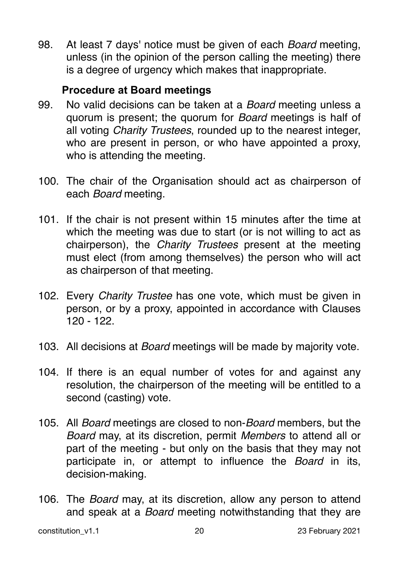98. At least 7 days' notice must be given of each *Board* meeting, unless (in the opinion of the person calling the meeting) there is a degree of urgency which makes that inappropriate.

# **Procedure at Board meetings**

- 99. No valid decisions can be taken at a *Board* meeting unless a quorum is present; the quorum for *Board* meetings is half of all voting *Charity Trustees*, rounded up to the nearest integer, who are present in person, or who have appointed a proxy, who is attending the meeting.
- 100. The chair of the Organisation should act as chairperson of each *Board* meeting.
- 101. If the chair is not present within 15 minutes after the time at which the meeting was due to start (or is not willing to act as chairperson), the *Charity Trustees* present at the meeting must elect (from among themselves) the person who will act as chairperson of that meeting.
- 102. Every *Charity Trustee* has one vote, which must be given in person, or by a proxy, appointed in accordance with Clauses 120 - 122.
- 103. All decisions at *Board* meetings will be made by majority vote.
- 104. If there is an equal number of votes for and against any resolution, the chairperson of the meeting will be entitled to a second (casting) vote.
- 105. All *Board* meetings are closed to non-*Board* members, but the *Board* may, at its discretion, permit *Members* to attend all or part of the meeting - but only on the basis that they may not participate in, or attempt to influence the *Board* in its, decision-making.
- 106. The *Board* may, at its discretion, allow any person to attend and speak at a *Board* meeting notwithstanding that they are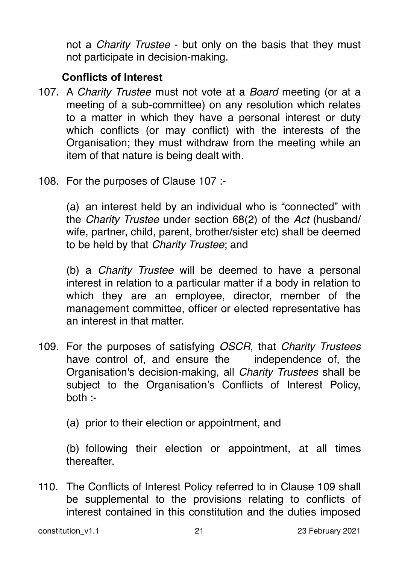not a *Charity Trustee* - but only on the basis that they must not participate in decision-making.

# **Conflicts of Interest**

- 107. A *Charity Trustee* must not vote at a *Board* meeting (or at a meeting of a sub-committee) on any resolution which relates to a matter in which they have a personal interest or duty which conflicts (or may conflict) with the interests of the Organisation; they must withdraw from the meeting while an item of that nature is being dealt with.
- 108. For the purposes of Clause 107 :-

(a) an interest held by an individual who is "connected" with the *Charity Trustee* under section 68(2) of the *Act* (husband/ wife, partner, child, parent, brother/sister etc) shall be deemed to be held by that *Charity Trustee*; and

(b) a *Charity Trustee* will be deemed to have a personal interest in relation to a particular matter if a body in relation to which they are an employee, director, member of the management committee, officer or elected representative has an interest in that matter.

109. For the purposes of satisfying *OSCR*, that *Charity Trustees* have control of, and ensure the independence of, the Organisation's decision-making, all *Charity Trustees* shall be subject to the Organisation's Conflicts of Interest Policy, both :-

(a) prior to their election or appointment, and

(b) following their election or appointment, at all times thereafter.

110. The Conflicts of Interest Policy referred to in Clause 109 shall be supplemental to the provisions relating to conflicts of interest contained in this constitution and the duties imposed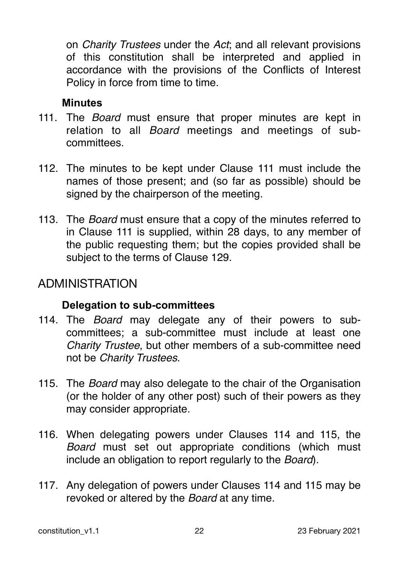on *Charity Trustees* under the *Act*; and all relevant provisions of this constitution shall be interpreted and applied in accordance with the provisions of the Conflicts of Interest Policy in force from time to time.

# **Minutes**

- 111. The *Board* must ensure that proper minutes are kept in relation to all *Board* meetings and meetings of subcommittees.
- 112. The minutes to be kept under Clause 111 must include the names of those present; and (so far as possible) should be signed by the chairperson of the meeting.
- 113. The *Board* must ensure that a copy of the minutes referred to in Clause 111 is supplied, within 28 days, to any member of the public requesting them; but the copies provided shall be subject to the terms of Clause 129.

# ADMINISTRATION

# **Delegation to sub-committees**

- 114. The *Board* may delegate any of their powers to subcommittees; a sub-committee must include at least one *Charity Trustee*, but other members of a sub-committee need not be *Charity Trustees*.
- 115. The *Board* may also delegate to the chair of the Organisation (or the holder of any other post) such of their powers as they may consider appropriate.
- 116. When delegating powers under Clauses 114 and 115, the *Board* must set out appropriate conditions (which must include an obligation to report regularly to the *Board*).
- 117. Any delegation of powers under Clauses 114 and 115 may be revoked or altered by the *Board* at any time.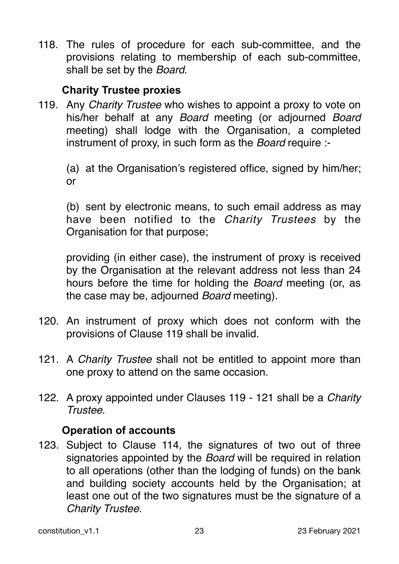118. The rules of procedure for each sub-committee, and the provisions relating to membership of each sub-committee, shall be set by the *Board*.

# **Charity Trustee proxies**

119. Any *Charity Trustee* who wishes to appoint a proxy to vote on his/her behalf at any *Board* meeting (or adjourned *Board* meeting) shall lodge with the Organisation, a completed instrument of proxy, in such form as the *Board* require :-

(a) at the Organisation's registered office, signed by him/her; or

(b) sent by electronic means, to such email address as may have been notified to the *Charity Trustees* by the Organisation for that purpose;

providing (in either case), the instrument of proxy is received by the Organisation at the relevant address not less than 24 hours before the time for holding the *Board* meeting (or, as the case may be, adjourned *Board* meeting).

- 120. An instrument of proxy which does not conform with the provisions of Clause 119 shall be invalid.
- 121. A *Charity Trustee* shall not be entitled to appoint more than one proxy to attend on the same occasion.
- 122. A proxy appointed under Clauses 119 121 shall be a *Charity Trustee*.

# **Operation of accounts**

123. Subject to Clause 114, the signatures of two out of three signatories appointed by the *Board* will be required in relation to all operations (other than the lodging of funds) on the bank and building society accounts held by the Organisation; at least one out of the two signatures must be the signature of a *Charity Trustee*.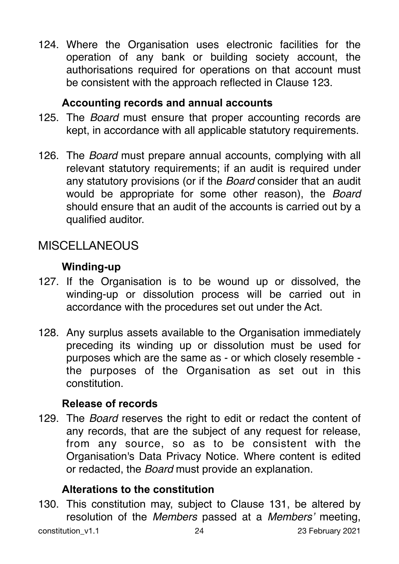124. Where the Organisation uses electronic facilities for the operation of any bank or building society account, the authorisations required for operations on that account must be consistent with the approach reflected in Clause 123.

# **Accounting records and annual accounts**

- 125. The *Board* must ensure that proper accounting records are kept, in accordance with all applicable statutory requirements.
- 126. The *Board* must prepare annual accounts, complying with all relevant statutory requirements; if an audit is required under any statutory provisions (or if the *Board* consider that an audit would be appropriate for some other reason), the *Board*  should ensure that an audit of the accounts is carried out by a qualified auditor.

# MISCELLANEOUS

# **Winding-up**

- 127. If the Organisation is to be wound up or dissolved, the winding-up or dissolution process will be carried out in accordance with the procedures set out under the Act.
- 128. Any surplus assets available to the Organisation immediately preceding its winding up or dissolution must be used for purposes which are the same as - or which closely resemble the purposes of the Organisation as set out in this constitution.

# **Release of records**

129. The *Board* reserves the right to edit or redact the content of any records, that are the subject of any request for release, from any source, so as to be consistent with the Organisation's Data Privacy Notice. Where content is edited or redacted, the *Board* must provide an explanation.

# **Alterations to the constitution**

130. This constitution may, subject to Clause 131, be altered by resolution of the *Members* passed at a *Members'* meeting, constitution v1.1 24 23 February 2021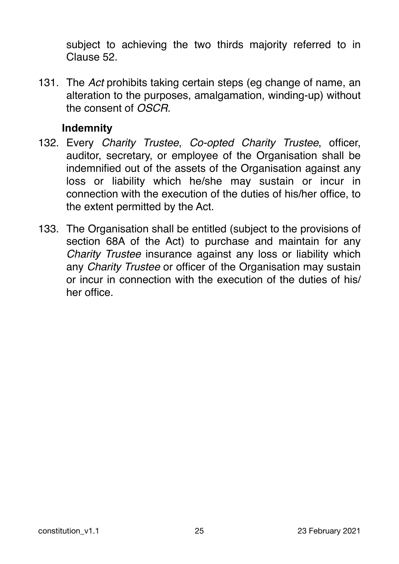subject to achieving the two thirds majority referred to in Clause 52.

131. The *Act* prohibits taking certain steps (eg change of name, an alteration to the purposes, amalgamation, winding-up) without the consent of *OSCR*.

# **Indemnity**

- 132. Every *Charity Trustee*, *Co-opted Charity Trustee*, officer, auditor, secretary, or employee of the Organisation shall be indemnified out of the assets of the Organisation against any loss or liability which he/she may sustain or incur in connection with the execution of the duties of his/her office, to the extent permitted by the Act.
- 133. The Organisation shall be entitled (subject to the provisions of section 68A of the Act) to purchase and maintain for any *Charity Trustee* insurance against any loss or liability which any *Charity Trustee* or officer of the Organisation may sustain or incur in connection with the execution of the duties of his/ her office.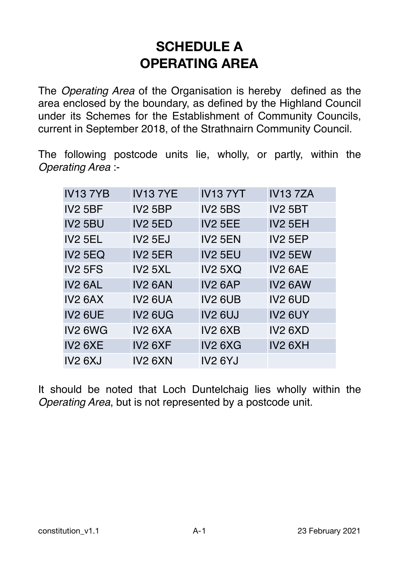# **SCHEDULE A OPERATING AREA**

The *Operating Area* of the Organisation is hereby defined as the area enclosed by the boundary, as defined by the Highland Council under its Schemes for the Establishment of Community Councils, current in September 2018, of the Strathnairn Community Council.

The following postcode units lie, wholly, or partly, within the *Operating Area* :-

| <b>IV137YB</b>      | <b>IV137YE</b>      | <b>IV137YT</b>                  | <b>IV137ZA</b>      |
|---------------------|---------------------|---------------------------------|---------------------|
| <b>IV2 5BF</b>      | <b>IV2 5BP</b>      | <b>IV2 5BS</b>                  | <b>IV2 5BT</b>      |
| <b>IV2 5BU</b>      | <b>IV2 5ED</b>      | <b>IV2 5EE</b>                  | IV <sub>2</sub> 5EH |
| <b>IV2 5EL</b>      | <b>IV2 5EJ</b>      | <b>IV2 5EN</b>                  | <b>IV2 5EP</b>      |
| <b>IV2 5EQ</b>      | <b>IV2 5ER</b>      | <b>IV2 5EU</b>                  | <b>IV2 5EW</b>      |
| <b>IV2 5FS</b>      | <b>IV2 5XL</b>      | <b>IV2 5XQ</b>                  | IV <sub>2</sub> 6AE |
| <b>IV2 6AL</b>      | IV <sub>2</sub> 6AN | IV <sub>2</sub> 6AP             | IV <sub>2</sub> 6AW |
| IV <sub>2</sub> 6AX | IV <sub>2</sub> 6UA | <b>IV2 6UB</b>                  | <b>IV2 6UD</b>      |
| <b>IV2 6UE</b>      | IV <sub>2</sub> 6UG | <b>IV2 6UJ</b>                  | IV2 6UY             |
| IV <sub>2</sub> 6WG | <b>IV2 6XA</b>      | <b>IV2 6XB</b>                  | <b>IV2 6XD</b>      |
| IV2 6XE             | IV <sub>2</sub> 6XF | IV <sub>2</sub> 6X <sub>G</sub> | IV2 6XH             |
| <b>IV2 6XJ</b>      | IV <sub>2</sub> 6XN | <b>IV2 6YJ</b>                  |                     |

It should be noted that Loch Duntelchaig lies wholly within the *Operating Area*, but is not represented by a postcode unit.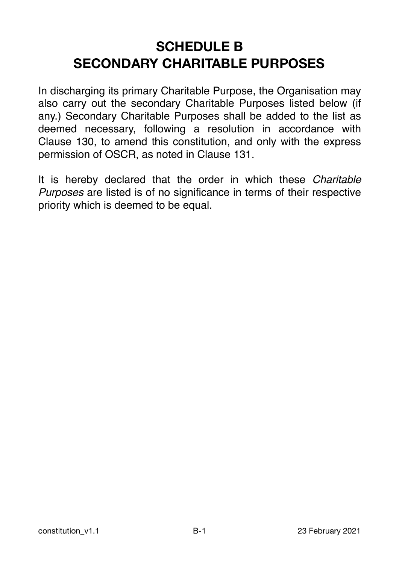# **SCHEDULE B SECONDARY CHARITABLE PURPOSES**

In discharging its primary Charitable Purpose, the Organisation may also carry out the secondary Charitable Purposes listed below (if any.) Secondary Charitable Purposes shall be added to the list as deemed necessary, following a resolution in accordance with Clause 130, to amend this constitution, and only with the express permission of OSCR, as noted in Clause 131.

It is hereby declared that the order in which these *Charitable Purposes* are listed is of no significance in terms of their respective priority which is deemed to be equal.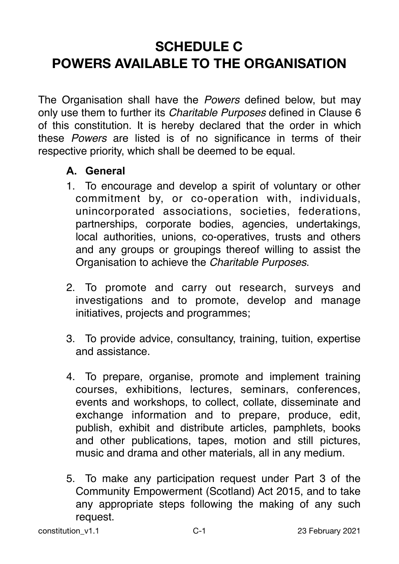# **SCHEDULE C POWERS AVAILABLE TO THE ORGANISATION**

The Organisation shall have the *Powers* defined below, but may only use them to further its *Charitable Purposes* defined in Clause 6 of this constitution. It is hereby declared that the order in which these *Powers* are listed is of no significance in terms of their respective priority, which shall be deemed to be equal.

# **A. General**

- 1. To encourage and develop a spirit of voluntary or other commitment by, or co-operation with, individuals, unincorporated associations, societies, federations, partnerships, corporate bodies, agencies, undertakings, local authorities, unions, co-operatives, trusts and others and any groups or groupings thereof willing to assist the Organisation to achieve the *Charitable Purposes*.
- 2. To promote and carry out research, surveys and investigations and to promote, develop and manage initiatives, projects and programmes;
- 3. To provide advice, consultancy, training, tuition, expertise and assistance.
- 4. To prepare, organise, promote and implement training courses, exhibitions, lectures, seminars, conferences, events and workshops, to collect, collate, disseminate and exchange information and to prepare, produce, edit, publish, exhibit and distribute articles, pamphlets, books and other publications, tapes, motion and still pictures, music and drama and other materials, all in any medium.
- 5. To make any participation request under Part 3 of the Community Empowerment (Scotland) Act 2015, and to take any appropriate steps following the making of any such request.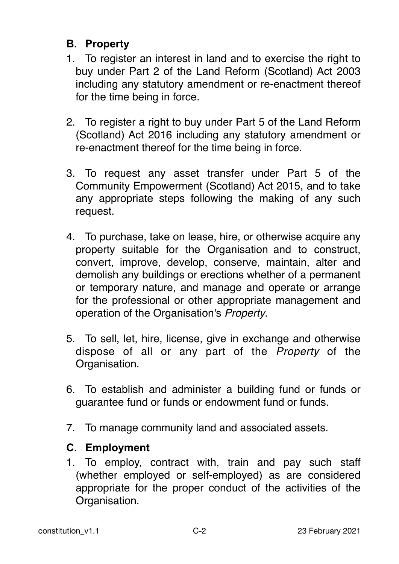# **B. Property**

- 1. To register an interest in land and to exercise the right to buy under Part 2 of the Land Reform (Scotland) Act 2003 including any statutory amendment or re-enactment thereof for the time being in force.
- 2. To register a right to buy under Part 5 of the Land Reform (Scotland) Act 2016 including any statutory amendment or re-enactment thereof for the time being in force.
- 3. To request any asset transfer under Part 5 of the Community Empowerment (Scotland) Act 2015, and to take any appropriate steps following the making of any such request.
- 4. To purchase, take on lease, hire, or otherwise acquire any property suitable for the Organisation and to construct, convert, improve, develop, conserve, maintain, alter and demolish any buildings or erections whether of a permanent or temporary nature, and manage and operate or arrange for the professional or other appropriate management and operation of the Organisation's *Property*.
- 5. To sell, let, hire, license, give in exchange and otherwise dispose of all or any part of the *Property* of the Organisation.
- 6. To establish and administer a building fund or funds or guarantee fund or funds or endowment fund or funds.
- 7. To manage community land and associated assets.

#### **C. Employment**

1. To employ, contract with, train and pay such staff (whether employed or self-employed) as are considered appropriate for the proper conduct of the activities of the Organisation.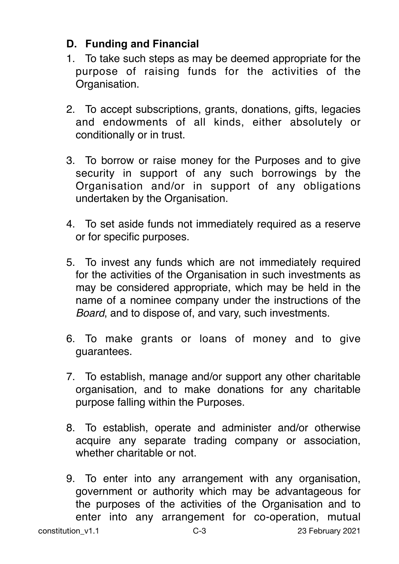# **D. Funding and Financial**

- 1. To take such steps as may be deemed appropriate for the purpose of raising funds for the activities of the Organisation.
- 2. To accept subscriptions, grants, donations, gifts, legacies and endowments of all kinds, either absolutely or conditionally or in trust.
- 3. To borrow or raise money for the Purposes and to give security in support of any such borrowings by the Organisation and/or in support of any obligations undertaken by the Organisation.
- 4. To set aside funds not immediately required as a reserve or for specific purposes.
- 5. To invest any funds which are not immediately required for the activities of the Organisation in such investments as may be considered appropriate, which may be held in the name of a nominee company under the instructions of the *Board*, and to dispose of, and vary, such investments.
- 6. To make grants or loans of money and to give guarantees.
- 7. To establish, manage and/or support any other charitable organisation, and to make donations for any charitable purpose falling within the Purposes.
- 8. To establish, operate and administer and/or otherwise acquire any separate trading company or association, whether charitable or not.
- 9. To enter into any arrangement with any organisation, government or authority which may be advantageous for the purposes of the activities of the Organisation and to enter into any arrangement for co-operation, mutual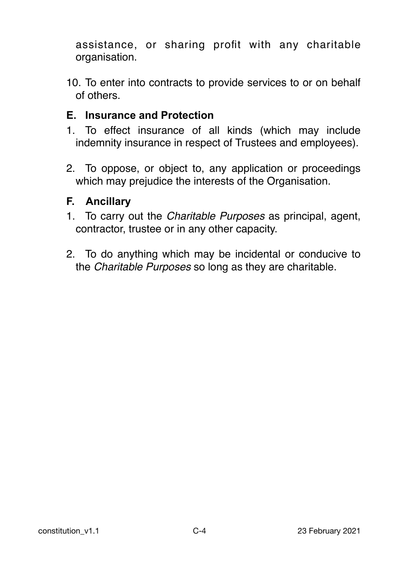assistance, or sharing profit with any charitable organisation.

10. To enter into contracts to provide services to or on behalf of others.

# **E. Insurance and Protection**

- 1. To effect insurance of all kinds (which may include indemnity insurance in respect of Trustees and employees).
- 2. To oppose, or object to, any application or proceedings which may prejudice the interests of the Organisation.

#### **F. Ancillary**

- 1. To carry out the *Charitable Purposes* as principal, agent, contractor, trustee or in any other capacity.
- 2. To do anything which may be incidental or conducive to the *Charitable Purposes* so long as they are charitable.